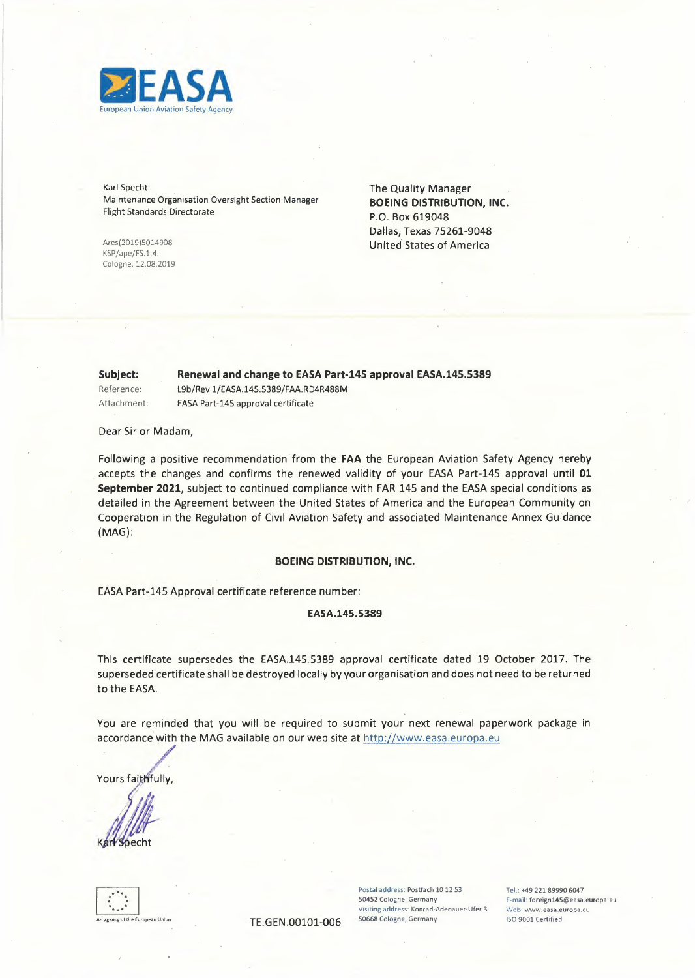

Karl Specht Maintenance Organisation Oversight Section Manager Flight Standards Directorate

KSP/ape/FS.1.4. Cologne, 12.08.2019

The Quality Manager BOEING DISTRIBUTION, INC. P.O. Box 619048 Dallas, Texas 75261-9048 Ares(2019)5014908 United States of America

Subject: Renewal and change to EASA Part-145 approval EASA.145.5389 Reference: L9b/Rev 1/EASA.14S.5389/FAA.RD4R488M Attachment: EASA Part-145 approval certificate

Dear Sir or Madam,

Following a positive recommendation from the **FAA** the European Aviation Safety Agency hereby accepts the changes and confirms the renewed validity of your EASA Part-145 approval until **<sup>01</sup> September 2021,** subject to continued compliance with FAR 145 and the EASA special conditions as detailed in the Agreement between the United States of America and the European Community on Cooperation in the Regulation of Civil Aviation Safety and associated Maintenance Annex Guidance (MAG):

### **BOEING DISTRIBUTION, INC.**

EASA Part-145 Approval certificate reference number:

### **EASA.145.5389**

This certificate supersedes the EASA.145.5389 approval certificate dated 19 October 2017. The superseded certificate shall be destroyed locally by your organisation and does not need to be returned to the EASA.

You are reminded that you will be required to submit your next renewal paperwork package in accordance with the MAG available on our web site at http://www.easa.europa.eu

al With

.<br>An Union

TE.GEN.00101-006 50668 Cologne, Germany

Postal address: Postfach 10 12 53 S0452 Cologne, Germany **Visiting address: Konrad-Adenauer-Ufer 3**  Tel.: +49 221 89990 6047 E-mail: foreign145@easa.europa.eu **Web: www.easa.europa.eu**  ISO 9001 Certified